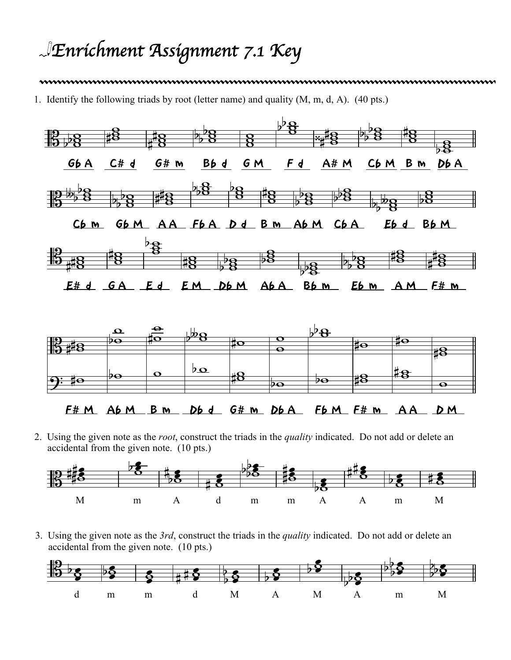## *Enrichment Assignment 7.1 Key*

## 

1. Identify the following triads by root (letter name) and quality (M, m, d, A). (40 pts.)



2. Using the given note as the *root*, construct the triads in the *quality* indicated. Do not add or delete an accidental from the given note. (10 pts.)



3. Using the given note as the *3rd*, construct the triads in the *quality* indicated. Do not add or delete an accidental from the given note. (10 pts.)